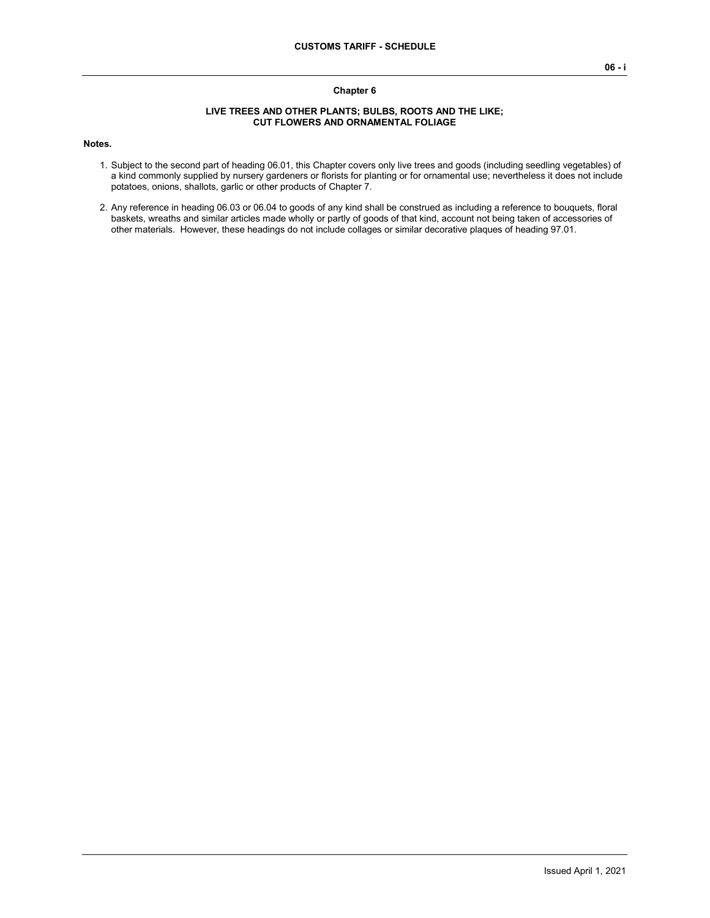### **Chapter 6**

#### **LIVE TREES AND OTHER PLANTS; BULBS, ROOTS AND THE LIKE; CUT FLOWERS AND ORNAMENTAL FOLIAGE**

#### **Notes.**

- 1. Subject to the second part of heading 06.01, this Chapter covers only live trees and goods (including seedling vegetables) of a kind commonly supplied by nursery gardeners or florists for planting or for ornamental use; nevertheless it does not include potatoes, onions, shallots, garlic or other products of Chapter 7.
- 2. Any reference in heading 06.03 or 06.04 to goods of any kind shall be construed as including a reference to bouquets, floral baskets, wreaths and similar articles made wholly or partly of goods of that kind, account not being taken of accessories of other materials. However, these headings do not include collages or similar decorative plaques of heading 97.01.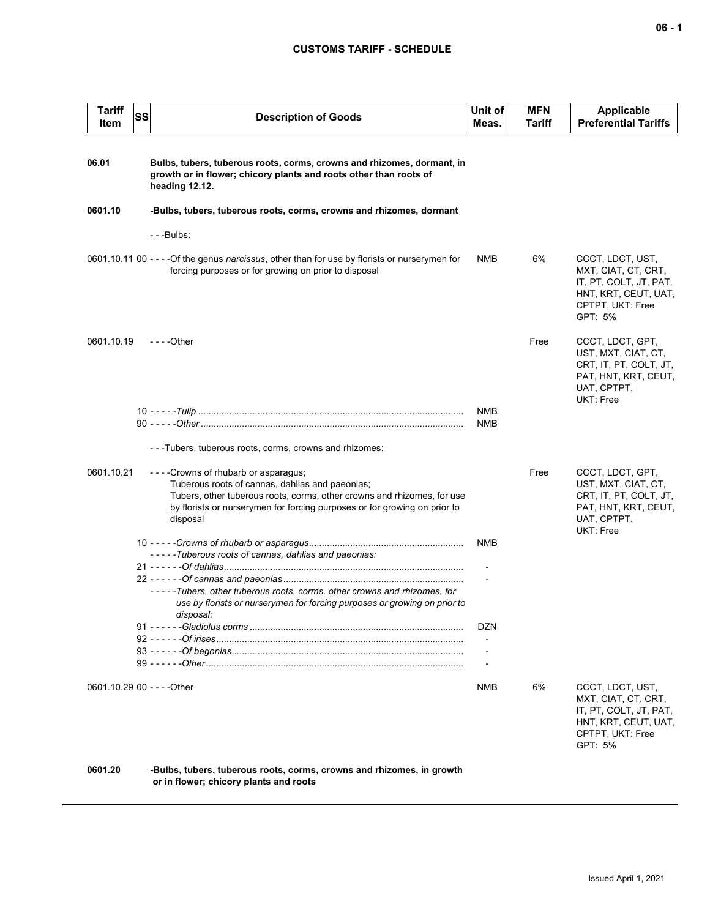## **CUSTOMS TARIFF - SCHEDULE**

| <b>Tariff</b><br>Item | SS | <b>Description of Goods</b>                                                                                                                                                                                                                                    | Unit of<br>Meas.         | <b>MFN</b><br>Tariff | Applicable<br><b>Preferential Tariffs</b>                                                                                |
|-----------------------|----|----------------------------------------------------------------------------------------------------------------------------------------------------------------------------------------------------------------------------------------------------------------|--------------------------|----------------------|--------------------------------------------------------------------------------------------------------------------------|
| 06.01                 |    | Bulbs, tubers, tuberous roots, corms, crowns and rhizomes, dormant, in<br>growth or in flower; chicory plants and roots other than roots of<br>heading 12.12.                                                                                                  |                          |                      |                                                                                                                          |
| 0601.10               |    | -Bulbs, tubers, tuberous roots, corms, crowns and rhizomes, dormant                                                                                                                                                                                            |                          |                      |                                                                                                                          |
|                       |    | ---Bulbs:                                                                                                                                                                                                                                                      |                          |                      |                                                                                                                          |
|                       |    | 0601.10.11 00 - - - - Of the genus <i>narcissus</i> , other than for use by florists or nurserymen for<br>forcing purposes or for growing on prior to disposal                                                                                                 | <b>NMB</b>               | 6%                   | CCCT, LDCT, UST,<br>MXT, CIAT, CT, CRT,<br>IT, PT, COLT, JT, PAT,<br>HNT, KRT, CEUT, UAT,<br>CPTPT, UKT: Free<br>GPT: 5% |
| 0601.10.19            |    | - - - - Other                                                                                                                                                                                                                                                  |                          | Free                 | CCCT, LDCT, GPT,<br>UST, MXT, CIAT, CT,<br>CRT, IT, PT, COLT, JT,<br>PAT, HNT, KRT, CEUT,<br>UAT, CPTPT,<br>UKT: Free    |
|                       |    |                                                                                                                                                                                                                                                                | <b>NMB</b><br><b>NMB</b> |                      |                                                                                                                          |
|                       |    | ---Tubers, tuberous roots, corms, crowns and rhizomes:                                                                                                                                                                                                         |                          |                      |                                                                                                                          |
| 0601.10.21            |    | - - - - Crowns of rhubarb or asparagus;<br>Tuberous roots of cannas, dahlias and paeonias;<br>Tubers, other tuberous roots, corms, other crowns and rhizomes, for use<br>by florists or nurserymen for forcing purposes or for growing on prior to<br>disposal |                          | Free                 | CCCT, LDCT, GPT,<br>UST, MXT, CIAT, CT,<br>CRT, IT, PT, COLT, JT,<br>PAT, HNT, KRT, CEUT,<br>UAT, CPTPT,<br>UKT: Free    |
|                       |    |                                                                                                                                                                                                                                                                | <b>NMB</b>               |                      |                                                                                                                          |
|                       |    | -----Tuberous roots of cannas, dahlias and paeonias:                                                                                                                                                                                                           |                          |                      |                                                                                                                          |
|                       |    | -----Tubers, other tuberous roots, corms, other crowns and rhizomes, for<br>use by florists or nurserymen for forcing purposes or growing on prior to<br>disposal:                                                                                             |                          |                      |                                                                                                                          |
|                       |    |                                                                                                                                                                                                                                                                | DZN                      |                      |                                                                                                                          |
|                       |    |                                                                                                                                                                                                                                                                |                          |                      |                                                                                                                          |
|                       |    |                                                                                                                                                                                                                                                                |                          |                      |                                                                                                                          |
|                       |    | 0601.10.29 00 - - - - Other                                                                                                                                                                                                                                    | NMB                      | 6%                   | CCCT, LDCT, UST,<br>MXT, CIAT, CT, CRT,<br>IT, PT, COLT, JT, PAT,<br>HNT, KRT, CEUT, UAT,<br>CPTPT, UKT: Free<br>GPT: 5% |

**0601.20 -Bulbs, tubers, tuberous roots, corms, crowns and rhizomes, in growth or in flower; chicory plants and roots**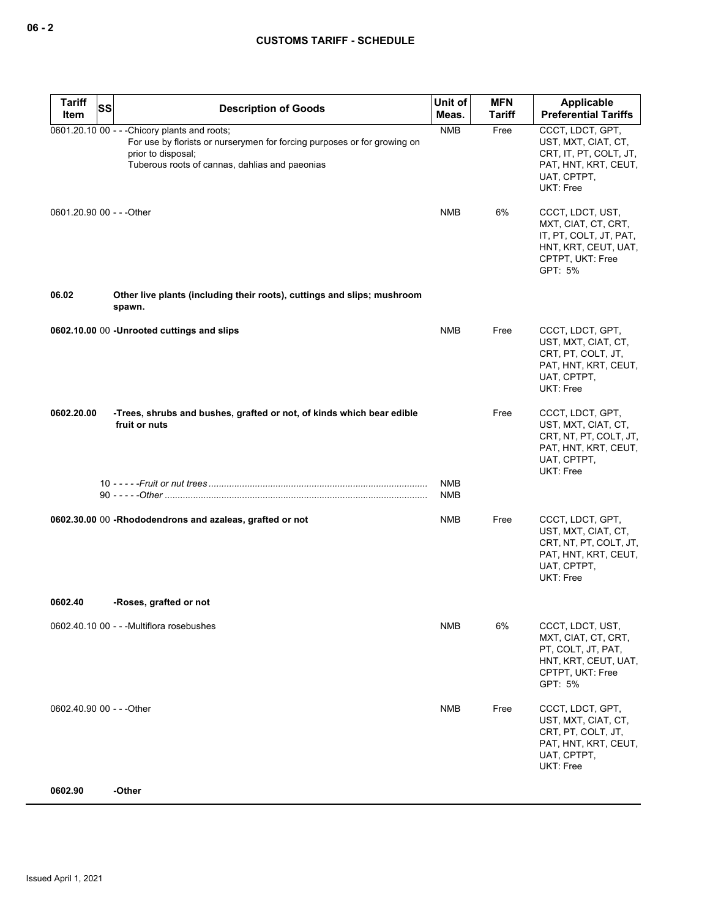| <b>Tariff</b>             | SS<br><b>Description of Goods</b>                                                                                                                                                                 | Unit of    | <b>MFN</b>    | Applicable                                                                                                                   |
|---------------------------|---------------------------------------------------------------------------------------------------------------------------------------------------------------------------------------------------|------------|---------------|------------------------------------------------------------------------------------------------------------------------------|
| Item                      |                                                                                                                                                                                                   | Meas.      | <b>Tariff</b> | <b>Preferential Tariffs</b>                                                                                                  |
|                           | 0601.20.10 00 - - - Chicory plants and roots;<br>For use by florists or nurserymen for forcing purposes or for growing on<br>prior to disposal;<br>Tuberous roots of cannas, dahlias and paeonias | <b>NMB</b> | Free          | CCCT, LDCT, GPT,<br>UST, MXT, CIAT, CT,<br>CRT, IT, PT, COLT, JT,<br>PAT, HNT, KRT, CEUT,<br>UAT, CPTPT,<br>UKT: Free        |
| 0601.20.90 00 - - - Other |                                                                                                                                                                                                   | <b>NMB</b> | 6%            | CCCT, LDCT, UST,<br>MXT, CIAT, CT, CRT,<br>IT, PT, COLT, JT, PAT,<br>HNT, KRT, CEUT, UAT,<br>CPTPT, UKT: Free<br>GPT: 5%     |
| 06.02                     | Other live plants (including their roots), cuttings and slips; mushroom<br>spawn.                                                                                                                 |            |               |                                                                                                                              |
|                           | 0602.10.00 00 -Unrooted cuttings and slips                                                                                                                                                        | <b>NMB</b> | Free          | CCCT, LDCT, GPT,<br>UST, MXT, CIAT, CT,<br>CRT, PT, COLT, JT,<br>PAT, HNT, KRT, CEUT,<br>UAT, CPTPT,<br><b>UKT: Free</b>     |
| 0602.20.00                | -Trees, shrubs and bushes, grafted or not, of kinds which bear edible<br>fruit or nuts                                                                                                            | <b>NMB</b> | Free          | CCCT, LDCT, GPT,<br>UST, MXT, CIAT, CT,<br>CRT, NT, PT, COLT, JT,<br>PAT, HNT, KRT, CEUT,<br>UAT, CPTPT,<br>UKT: Free        |
|                           |                                                                                                                                                                                                   | <b>NMB</b> |               |                                                                                                                              |
|                           | 0602.30.00 00 -Rhododendrons and azaleas, grafted or not                                                                                                                                          | <b>NMB</b> | Free          | CCCT, LDCT, GPT,<br>UST, MXT, CIAT, CT,<br>CRT, NT, PT, COLT, JT,<br>PAT, HNT, KRT, CEUT,<br>UAT, CPTPT,<br><b>UKT: Free</b> |
| 0602.40                   | -Roses, grafted or not                                                                                                                                                                            |            |               |                                                                                                                              |
|                           | 0602.40.10 00 - - - Multiflora rosebushes                                                                                                                                                         | NMB        | 6%            | CCCT, LDCT, UST,<br>MXT, CIAT, CT, CRT,<br>PT, COLT, JT, PAT,<br>HNT, KRT, CEUT, UAT,<br>CPTPT, UKT: Free<br>GPT: 5%         |
| 0602.40.90 00 - - - Other |                                                                                                                                                                                                   | <b>NMB</b> | Free          | CCCT, LDCT, GPT,<br>UST, MXT, CIAT, CT,<br>CRT, PT, COLT, JT,<br>PAT, HNT, KRT, CEUT,<br>UAT, CPTPT,<br>UKT: Free            |
| 0602.90                   | -Other                                                                                                                                                                                            |            |               |                                                                                                                              |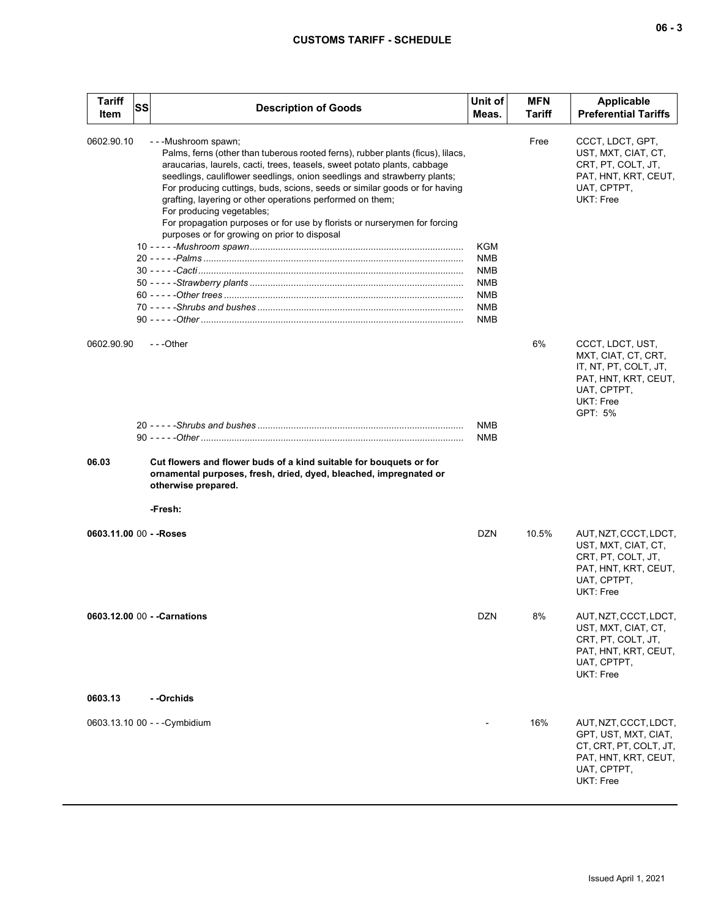# **CUSTOMS TARIFF - SCHEDULE**

| <b>Tariff</b><br>Item   | SS | <b>Description of Goods</b>                                                                                                                                                                                                                                                                                                                                                                                                                                                                                                                                        | Unit of<br>Meas.                                                                               | <b>MFN</b><br>Tariff | <b>Applicable</b><br><b>Preferential Tariffs</b>                                                                                       |
|-------------------------|----|--------------------------------------------------------------------------------------------------------------------------------------------------------------------------------------------------------------------------------------------------------------------------------------------------------------------------------------------------------------------------------------------------------------------------------------------------------------------------------------------------------------------------------------------------------------------|------------------------------------------------------------------------------------------------|----------------------|----------------------------------------------------------------------------------------------------------------------------------------|
| 0602.90.10              |    | ---Mushroom spawn;<br>Palms, ferns (other than tuberous rooted ferns), rubber plants (ficus), lilacs,<br>araucarias, laurels, cacti, trees, teasels, sweet potato plants, cabbage<br>seedlings, cauliflower seedlings, onion seedlings and strawberry plants;<br>For producing cuttings, buds, scions, seeds or similar goods or for having<br>grafting, layering or other operations performed on them;<br>For producing vegetables;<br>For propagation purposes or for use by florists or nurserymen for forcing<br>purposes or for growing on prior to disposal | <b>KGM</b><br><b>NMB</b><br><b>NMB</b><br><b>NMB</b><br><b>NMB</b><br><b>NMB</b><br><b>NMB</b> | Free                 | CCCT, LDCT, GPT,<br>UST, MXT, CIAT, CT,<br>CRT, PT, COLT, JT,<br>PAT, HNT, KRT, CEUT,<br>UAT, CPTPT,<br><b>UKT: Free</b>               |
| 0602.90.90              |    | $-$ - -Other                                                                                                                                                                                                                                                                                                                                                                                                                                                                                                                                                       |                                                                                                | 6%                   | CCCT, LDCT, UST,<br>MXT, CIAT, CT, CRT,<br>IT, NT, PT, COLT, JT,<br>PAT, HNT, KRT, CEUT,<br>UAT, CPTPT,<br><b>UKT: Free</b><br>GPT: 5% |
|                         |    |                                                                                                                                                                                                                                                                                                                                                                                                                                                                                                                                                                    | <b>NMB</b><br><b>NMB</b>                                                                       |                      |                                                                                                                                        |
| 06.03                   |    | Cut flowers and flower buds of a kind suitable for bouquets or for<br>ornamental purposes, fresh, dried, dyed, bleached, impregnated or<br>otherwise prepared.                                                                                                                                                                                                                                                                                                                                                                                                     |                                                                                                |                      |                                                                                                                                        |
|                         |    | -Fresh:                                                                                                                                                                                                                                                                                                                                                                                                                                                                                                                                                            |                                                                                                |                      |                                                                                                                                        |
| 0603.11.00 00 - - Roses |    |                                                                                                                                                                                                                                                                                                                                                                                                                                                                                                                                                                    | <b>DZN</b>                                                                                     | 10.5%                | AUT, NZT, CCCT, LDCT,<br>UST, MXT, CIAT, CT,<br>CRT, PT, COLT, JT,<br>PAT, HNT, KRT, CEUT,<br>UAT, CPTPT,<br>UKT: Free                 |
|                         |    | 0603.12.00 00 - - Carnations                                                                                                                                                                                                                                                                                                                                                                                                                                                                                                                                       | <b>DZN</b>                                                                                     | 8%                   | AUT, NZT, CCCT, LDCT,<br>UST, MXT, CIAT, CT,<br>CRT, PT, COLT, JT,<br>PAT, HNT, KRT, CEUT,<br>UAT, CPTPT,<br>UKT: Free                 |
| 0603.13                 |    | - -Orchids                                                                                                                                                                                                                                                                                                                                                                                                                                                                                                                                                         |                                                                                                |                      |                                                                                                                                        |
|                         |    | 0603.13.10 00 - - - Cymbidium                                                                                                                                                                                                                                                                                                                                                                                                                                                                                                                                      |                                                                                                | 16%                  | AUT, NZT, CCCT, LDCT,<br>GPT, UST, MXT, CIAT,<br>CT, CRT, PT, COLT, JT,<br>PAT, HNT, KRT, CEUT,<br>UAT, CPTPT,<br>UKT: Free            |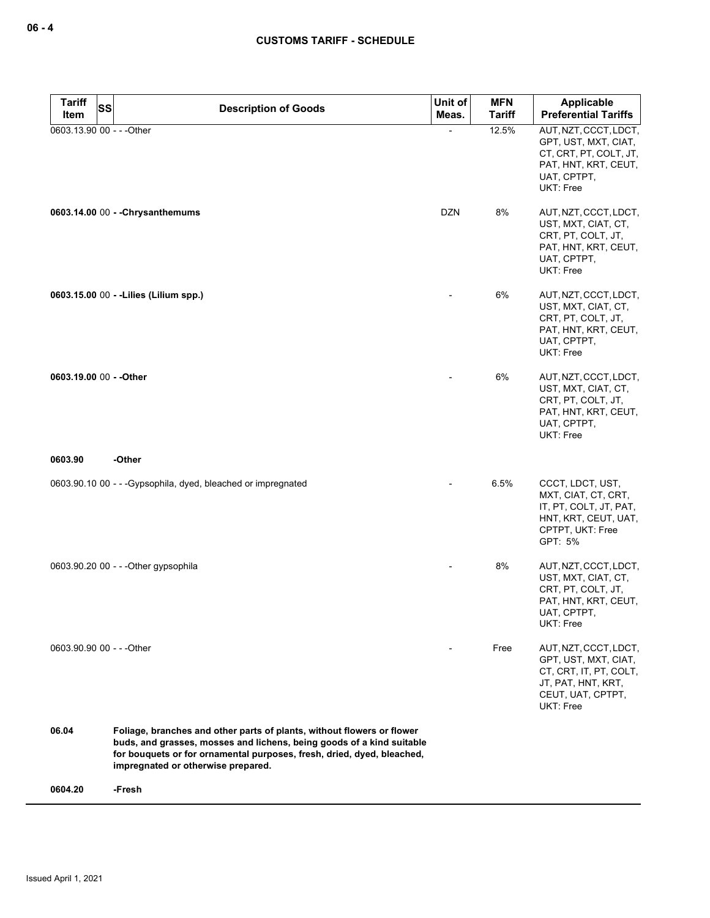| <b>Tariff</b><br><b>SS</b>        | <b>Description of Goods</b>                                                                                                                                                                                                                                     | Unit of    | <b>MFN</b>             | Applicable<br><b>Preferential Tariffs</b>                                                                                       |
|-----------------------------------|-----------------------------------------------------------------------------------------------------------------------------------------------------------------------------------------------------------------------------------------------------------------|------------|------------------------|---------------------------------------------------------------------------------------------------------------------------------|
| Item<br>0603.13.90 00 - - - Other |                                                                                                                                                                                                                                                                 | Meas.      | <b>Tariff</b><br>12.5% | AUT, NZT, CCCT, LDCT,                                                                                                           |
|                                   |                                                                                                                                                                                                                                                                 |            |                        | GPT, UST, MXT, CIAT,<br>CT, CRT, PT, COLT, JT,<br>PAT, HNT, KRT, CEUT,<br>UAT, CPTPT,<br>UKT: Free                              |
|                                   | 0603.14.00 00 - - Chrysanthemums                                                                                                                                                                                                                                | <b>DZN</b> | 8%                     | AUT, NZT, CCCT, LDCT,<br>UST, MXT, CIAT, CT,<br>CRT, PT, COLT, JT,<br>PAT, HNT, KRT, CEUT,<br>UAT, CPTPT,<br>UKT: Free          |
|                                   | 0603.15.00 00 - - Lilies (Lilium spp.)                                                                                                                                                                                                                          |            | 6%                     | AUT, NZT, CCCT, LDCT,<br>UST, MXT, CIAT, CT,<br>CRT, PT, COLT, JT,<br>PAT, HNT, KRT, CEUT,<br>UAT, CPTPT,<br>UKT: Free          |
| 0603.19.00 00 - - Other           |                                                                                                                                                                                                                                                                 |            | 6%                     | AUT, NZT, CCCT, LDCT,<br>UST, MXT, CIAT, CT,<br>CRT, PT, COLT, JT,<br>PAT, HNT, KRT, CEUT,<br>UAT, CPTPT,<br><b>UKT: Free</b>   |
| 0603.90                           | -Other                                                                                                                                                                                                                                                          |            |                        |                                                                                                                                 |
|                                   | 0603.90.10 00 - - - Gypsophila, dyed, bleached or impregnated                                                                                                                                                                                                   |            | 6.5%                   | CCCT, LDCT, UST,<br>MXT, CIAT, CT, CRT,<br>IT, PT, COLT, JT, PAT,<br>HNT, KRT, CEUT, UAT,<br>CPTPT, UKT: Free<br>GPT: 5%        |
|                                   | 0603.90.20 00 - - - Other gypsophila                                                                                                                                                                                                                            |            | 8%                     | AUT, NZT, CCCT, LDCT,<br>UST, MXT, CIAT, CT,<br>CRT, PT, COLT, JT,<br>PAT, HNT, KRT, CEUT,<br>UAT, CPTPT,<br>UKT: Free          |
| 0603.90.90 00 - - - Other         |                                                                                                                                                                                                                                                                 |            | Free                   | AUT, NZT, CCCT, LDCT,<br>GPT, UST, MXT, CIAT,<br>CT, CRT, IT, PT, COLT,<br>JT, PAT, HNT, KRT,<br>CEUT, UAT, CPTPT,<br>UKT: Free |
| 06.04                             | Foliage, branches and other parts of plants, without flowers or flower<br>buds, and grasses, mosses and lichens, being goods of a kind suitable<br>for bouquets or for ornamental purposes, fresh, dried, dyed, bleached,<br>impregnated or otherwise prepared. |            |                        |                                                                                                                                 |
| 0604.20                           | -Fresh                                                                                                                                                                                                                                                          |            |                        |                                                                                                                                 |